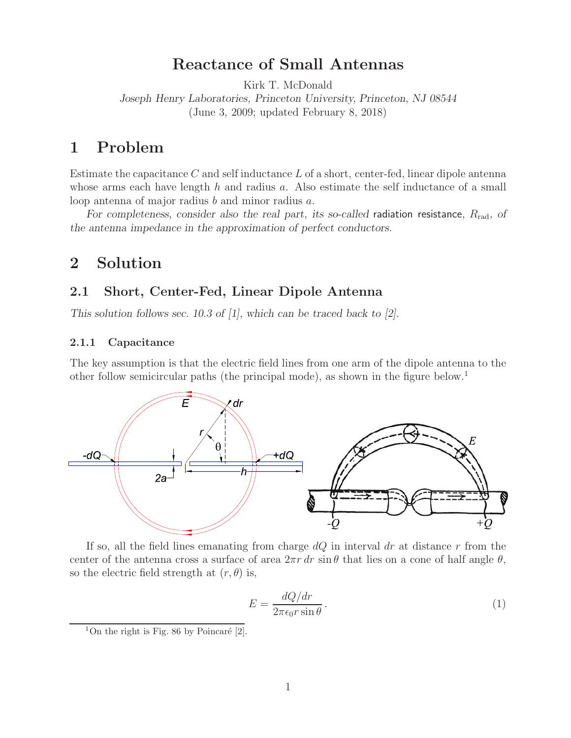# **Reactance of Small Antennas**

Kirk T. McDonald

*Joseph Henry Laboratories, Princeton University, Princeton, NJ 08544* (June 3, 2009; updated February 8, 2018)

## **1 Problem**

Estimate the capacitance  $C$  and self inductance  $L$  of a short, center-fed, linear dipole antenna whose arms each have length  $h$  and radius  $a$ . Also estimate the self inductance of a small loop antenna of major radius b and minor radius a.

*For completeness, consider also the real part, its so-called radiation resistance, R<sub>rad</sub>, of the antenna impedance in the approximation of perfect conductors.*

## **2 Solution**

### **2.1 Short, Center-Fed, Linear Dipole Antenna**

*This solution follows sec. 10.3 of [1], which can be traced back to [2].*

### **2.1.1 Capacitance**

The key assumption is that the electric field lines from one arm of the dipole antenna to the other follow semicircular paths (the principal mode), as shown in the figure below.<sup>1</sup>



If so, all the field lines emanating from charge  $dQ$  in interval dr at distance r from the center of the antenna cross a surface of area  $2\pi r dr \sin \theta$  that lies on a cone of half angle  $\theta$ , so the electric field strength at  $(r, \theta)$  is,

$$
E = \frac{dQ/dr}{2\pi\epsilon_0 r \sin\theta}.
$$
 (1)

<sup>&</sup>lt;sup>1</sup>On the right is Fig. 86 by Poincaré  $[2]$ .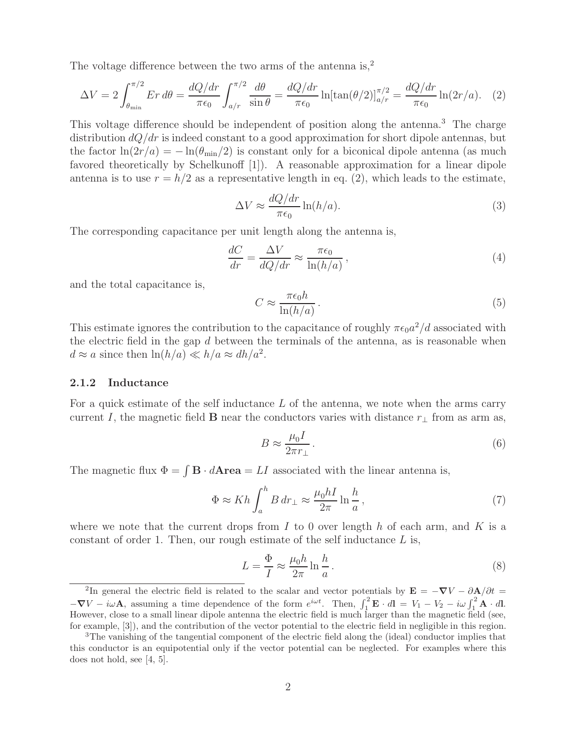The voltage difference between the two arms of the antenna is,<sup>2</sup>

$$
\Delta V = 2 \int_{\theta_{\text{min}}}^{\pi/2} E r \, d\theta = \frac{dQ/dr}{\pi \epsilon_0} \int_{a/r}^{\pi/2} \frac{d\theta}{\sin \theta} = \frac{dQ/dr}{\pi \epsilon_0} \ln[\tan(\theta/2)]_{a/r}^{\pi/2} = \frac{dQ/dr}{\pi \epsilon_0} \ln(2r/a). \tag{2}
$$

This voltage difference should be independent of position along the antenna.<sup>3</sup> The charge distribution  $dQ/dr$  is indeed constant to a good approximation for short dipole antennas, but the factor  $\ln(2r/a) = -\ln(\theta_{\min}/2)$  is constant only for a biconical dipole antenna (as much favored theoretically by Schelkunoff [1]). A reasonable approximation for a linear dipole antenna is to use  $r = h/2$  as a representative length in eq. (2), which leads to the estimate,

$$
\Delta V \approx \frac{dQ/dr}{\pi \epsilon_0} \ln(h/a). \tag{3}
$$

The corresponding capacitance per unit length along the antenna is,

$$
\frac{dC}{dr} = \frac{\Delta V}{dQ/dr} \approx \frac{\pi \epsilon_0}{\ln(h/a)},\tag{4}
$$

and the total capacitance is,

$$
C \approx \frac{\pi \epsilon_0 h}{\ln(h/a)}\,. \tag{5}
$$

This estimate ignores the contribution to the capacitance of roughly  $\pi \epsilon_0 a^2/d$  associated with the electric field in the gap  $d$  between the terminals of the antenna, as is reasonable when  $d \approx a$  since then  $\ln(h/a) \ll h/a \approx dh/a^2$ .

#### **2.1.2 Inductance**

For a quick estimate of the self inductance L of the antenna, we note when the arms carry current I, the magnetic field **B** near the conductors varies with distance  $r_{\perp}$  from as arm as,

$$
B \approx \frac{\mu_0 I}{2\pi r_{\perp}}\,. \tag{6}
$$

The magnetic flux  $\Phi = \int \mathbf{B} \cdot d\mathbf{A} \mathbf{r} \cdot d\mathbf{A} \cdot d\mathbf{r} = LI$  associated with the linear antenna is,

$$
\Phi \approx Kh \int_{a}^{h} B dr_{\perp} \approx \frac{\mu_0 h I}{2\pi} \ln \frac{h}{a},\tag{7}
$$

where we note that the current drops from I to 0 over length h of each arm, and K is a constant of order 1. Then, our rough estimate of the self inductance  $L$  is,

$$
L = \frac{\Phi}{I} \approx \frac{\mu_0 h}{2\pi} \ln \frac{h}{a} \,. \tag{8}
$$

<sup>&</sup>lt;sup>2</sup>In general the electric field is related to the scalar and vector potentials by  $\mathbf{E} = -\nabla V - \partial \mathbf{A}/\partial t =$  $-\nabla V - i\omega \mathbf{A}$ , assuming a time dependence of the form  $e^{i\omega t}$ . Then,  $\int_1^2 \mathbf{E} \cdot d\mathbf{l} = V_1 - V_2 - i\omega \int_1^2 \mathbf{A} \cdot d\mathbf{l}$ . However, close to a small linear dipole antenna the electric field is much larger than the magnetic field (see, for example, [3]), and the contribution of the vector potential to the electric field in negligible in this region.

<sup>&</sup>lt;sup>3</sup>The vanishing of the tangential component of the electric field along the (ideal) conductor implies that this conductor is an equipotential only if the vector potential can be neglected. For examples where this does not hold, see [4, 5].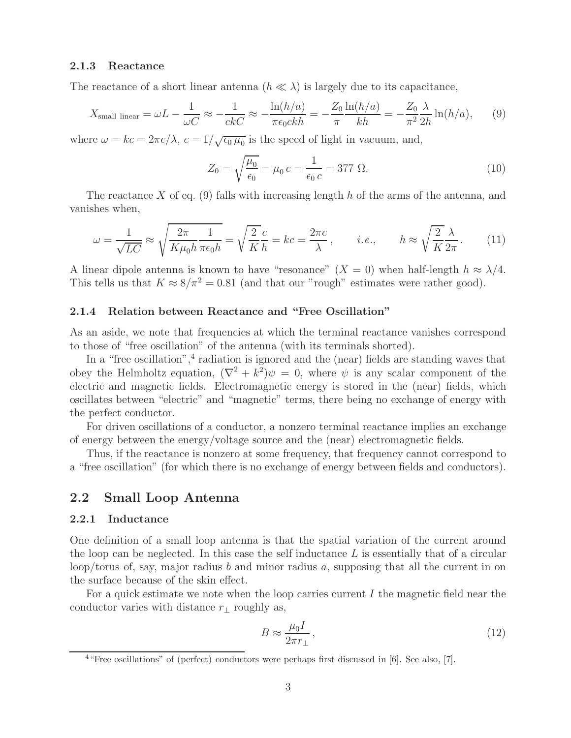#### **2.1.3 Reactance**

The reactance of a short linear antenna  $(h \ll \lambda)$  is largely due to its capacitance,

$$
X_{\text{small linear}} = \omega L - \frac{1}{\omega C} \approx -\frac{1}{ckC} \approx -\frac{\ln(h/a)}{\pi \epsilon_0 c k h} = -\frac{Z_0}{\pi} \frac{\ln(h/a)}{kh} = -\frac{Z_0}{\pi^2} \frac{\lambda}{2h} \ln(h/a),\tag{9}
$$

where  $\omega = kc = 2\pi c/\lambda$ ,  $c = 1/\sqrt{\epsilon_0 \mu_0}$  is the speed of light in vacuum, and,

$$
Z_0 = \sqrt{\frac{\mu_0}{\epsilon_0}} = \mu_0 c = \frac{1}{\epsilon_0 c} = 377 \text{ }\Omega.
$$
 (10)

The reactance X of eq. (9) falls with increasing length h of the arms of the antenna, and vanishes when,

$$
\omega = \frac{1}{\sqrt{LC}} \approx \sqrt{\frac{2\pi}{K\mu_0 h} \frac{1}{\pi \epsilon_0 h}} = \sqrt{\frac{2}{K}} \frac{c}{h} = kc = \frac{2\pi c}{\lambda}, \qquad i.e., \qquad h \approx \sqrt{\frac{2}{K}} \frac{\lambda}{2\pi}.
$$
 (11)

A linear dipole antenna is known to have "resonance"  $(X = 0)$  when half-length  $h \approx \lambda/4$ . This tells us that  $K \approx 8/\pi^2 = 0.81$  (and that our "rough" estimates were rather good).

#### **2.1.4 Relation between Reactance and "Free Oscillation"**

As an aside, we note that frequencies at which the terminal reactance vanishes correspond to those of "free oscillation" of the antenna (with its terminals shorted).

In a "free oscillation", $4$  radiation is ignored and the (near) fields are standing waves that obey the Helmholtz equation,  $(\nabla^2 + k^2)\psi = 0$ , where  $\psi$  is any scalar component of the electric and magnetic fields. Electromagnetic energy is stored in the (near) fields, which oscillates between "electric" and "magnetic" terms, there being no exchange of energy with the perfect conductor.

For driven oscillations of a conductor, a nonzero terminal reactance implies an exchange of energy between the energy/voltage source and the (near) electromagnetic fields.

Thus, if the reactance is nonzero at some frequency, that frequency cannot correspond to a "free oscillation" (for which there is no exchange of energy between fields and conductors).

### **2.2 Small Loop Antenna**

#### **2.2.1 Inductance**

One definition of a small loop antenna is that the spatial variation of the current around the loop can be neglected. In this case the self inductance  $L$  is essentially that of a circular loop/torus of, say, major radius b and minor radius a, supposing that all the current in on the surface because of the skin effect.

For a quick estimate we note when the loop carries current  $I$  the magnetic field near the conductor varies with distance  $r_{\perp}$  roughly as,

$$
B \approx \frac{\mu_0 I}{2\pi r_\perp},\tag{12}
$$

<sup>4</sup>"Free oscillations" of (perfect) conductors were perhaps first discussed in [6]. See also, [7].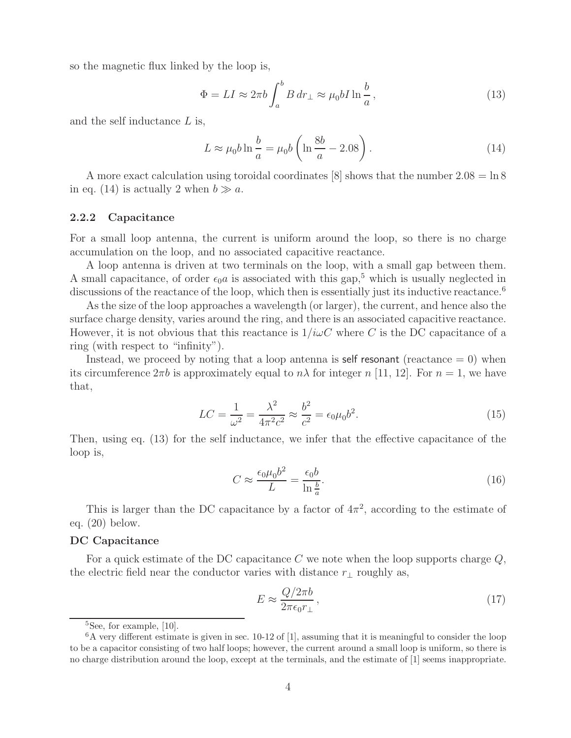so the magnetic flux linked by the loop is,

$$
\Phi = LI \approx 2\pi b \int_{a}^{b} B dr_{\perp} \approx \mu_0 b I \ln \frac{b}{a},\qquad(13)
$$

and the self inductance  $L$  is,

$$
L \approx \mu_0 b \ln \frac{b}{a} = \mu_0 b \left( \ln \frac{8b}{a} - 2.08 \right). \tag{14}
$$

A more exact calculation using toroidal coordinates [8] shows that the number  $2.08 = \ln 8$ in eq. (14) is actually 2 when  $b \gg a$ .

#### **2.2.2 Capacitance**

For a small loop antenna, the current is uniform around the loop, so there is no charge accumulation on the loop, and no associated capacitive reactance.

A loop antenna is driven at two terminals on the loop, with a small gap between them. A small capacitance, of order  $\epsilon_0 a$  is associated with this gap,<sup>5</sup> which is usually neglected in discussions of the reactance of the loop, which then is essentially just its inductive reactance.<sup>6</sup>

As the size of the loop approaches a wavelength (or larger), the current, and hence also the surface charge density, varies around the ring, and there is an associated capacitive reactance. However, it is not obvious that this reactance is  $1/i\omega C$  where C is the DC capacitance of a ring (with respect to "infinity").

Instead, we proceed by noting that a loop antenna is self resonant (reactance  $= 0$ ) when its circumference  $2\pi b$  is approximately equal to  $n\lambda$  for integer n [11, 12]. For  $n = 1$ , we have that,

$$
LC = \frac{1}{\omega^2} = \frac{\lambda^2}{4\pi^2 c^2} \approx \frac{b^2}{c^2} = \epsilon_0 \mu_0 b^2.
$$
 (15)

Then, using eq. (13) for the self inductance, we infer that the effective capacitance of the loop is,

$$
C \approx \frac{\epsilon_0 \mu_0 b^2}{L} = \frac{\epsilon_0 b}{\ln \frac{b}{a}}.\tag{16}
$$

This is larger than the DC capacitance by a factor of  $4\pi^2$ , according to the estimate of eq. (20) below.

#### **DC Capacitance**

For a quick estimate of the DC capacitance C we note when the loop supports charge  $Q$ , the electric field near the conductor varies with distance  $r_{\perp}$  roughly as,

$$
E \approx \frac{Q/2\pi b}{2\pi\epsilon_0 r_\perp},\tag{17}
$$

<sup>&</sup>lt;sup>5</sup>See, for example, [10].

 $6A$  very different estimate is given in sec. 10-12 of [1], assuming that it is meaningful to consider the loop to be a capacitor consisting of two half loops; however, the current around a small loop is uniform, so there is no charge distribution around the loop, except at the terminals, and the estimate of [1] seems inappropriate.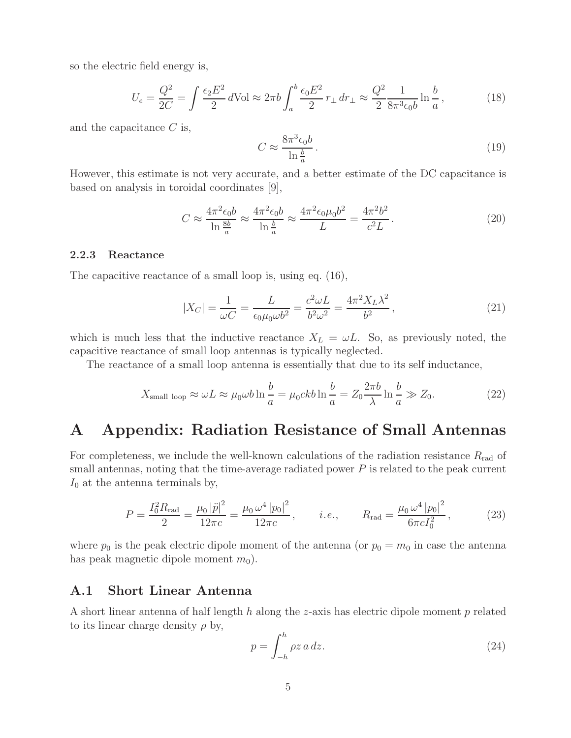so the electric field energy is,

$$
U_e = \frac{Q^2}{2C} = \int \frac{\epsilon_2 E^2}{2} d\text{Vol} \approx 2\pi b \int_a^b \frac{\epsilon_0 E^2}{2} r_\perp dr_\perp \approx \frac{Q^2}{2} \frac{1}{8\pi^3 \epsilon_0 b} \ln \frac{b}{a},\tag{18}
$$

and the capacitance  $C$  is,

$$
C \approx \frac{8\pi^3 \epsilon_0 b}{\ln \frac{b}{a}}.\tag{19}
$$

However, this estimate is not very accurate, and a better estimate of the DC capacitance is based on analysis in toroidal coordinates [9],

$$
C \approx \frac{4\pi^2 \epsilon_0 b}{\ln \frac{8b}{a}} \approx \frac{4\pi^2 \epsilon_0 b}{\ln \frac{b}{a}} \approx \frac{4\pi^2 \epsilon_0 \mu_0 b^2}{L} = \frac{4\pi^2 b^2}{c^2 L}.
$$
 (20)

#### **2.2.3 Reactance**

The capacitive reactance of a small loop is, using eq. (16),

$$
|X_C| = \frac{1}{\omega C} = \frac{L}{\epsilon_0 \mu_0 \omega b^2} = \frac{c^2 \omega L}{b^2 \omega^2} = \frac{4\pi^2 X_L \lambda^2}{b^2},\tag{21}
$$

which is much less that the inductive reactance  $X_L = \omega L$ . So, as previously noted, the capacitive reactance of small loop antennas is typically neglected.

The reactance of a small loop antenna is essentially that due to its self inductance,

$$
X_{\text{small loop}} \approx \omega L \approx \mu_0 \omega b \ln \frac{b}{a} = \mu_0 c k b \ln \frac{b}{a} = Z_0 \frac{2\pi b}{\lambda} \ln \frac{b}{a} \gg Z_0.
$$
 (22)

## **A Appendix: Radiation Resistance of Small Antennas**

For completeness, we include the well-known calculations of the radiation resistance  $R_{\text{rad}}$  of small antennas, noting that the time-average radiated power  $P$  is related to the peak current  $I_0$  at the antenna terminals by,

$$
P = \frac{I_0^2 R_{\text{rad}}}{2} = \frac{\mu_0 |\ddot{p}|^2}{12\pi c} = \frac{\mu_0 \omega^4 |p_0|^2}{12\pi c}, \qquad i.e., \qquad R_{\text{rad}} = \frac{\mu_0 \omega^4 |p_0|^2}{6\pi c I_0^2}, \tag{23}
$$

where  $p_0$  is the peak electric dipole moment of the antenna (or  $p_0 = m_0$  in case the antenna has peak magnetic dipole moment  $m_0$ ).

### **A.1 Short Linear Antenna**

A short linear antenna of half length h along the z-axis has electric dipole moment p related to its linear charge density  $\rho$  by,

$$
p = \int_{-h}^{h} \rho z \, a \, dz. \tag{24}
$$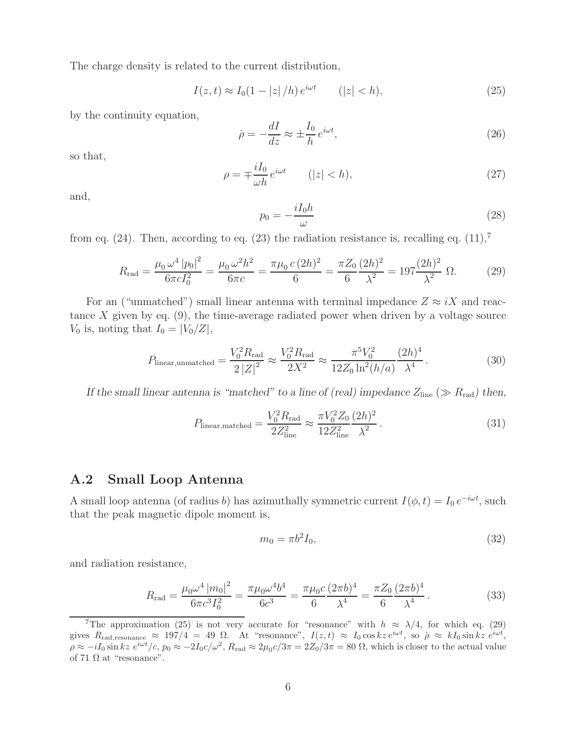The charge density is related to the current distribution,

$$
I(z,t) \approx I_0(1-|z|/h) e^{i\omega t} \qquad (|z| < h), \tag{25}
$$

by the continuity equation,

$$
\dot{\rho} = -\frac{dI}{dz} \approx \pm \frac{I_0}{h} e^{i\omega t},\qquad(26)
$$

so that,

$$
\rho = \mp \frac{iI_0}{\omega h} e^{i\omega t} \qquad (|z| < h), \tag{27}
$$

and,

$$
p_0 = -\frac{iI_0h}{\omega} \tag{28}
$$

from eq. (24). Then, according to eq. (23) the radiation resistance is, recalling eq.  $(11),^7$ 

$$
R_{\rm rad} = \frac{\mu_0 \,\omega^4 \, |p_0|^2}{6\pi c I_0^2} = \frac{\mu_0 \,\omega^2 h^2}{6\pi c} = \frac{\pi \mu_0 \, c \,(2h)^2}{6} = \frac{\pi Z_0}{6} \frac{(2h)^2}{\lambda^2} = 197 \frac{(2h)^2}{\lambda^2} \,\Omega. \tag{29}
$$

For an ("unmatched") small linear antenna with terminal impedance  $Z \approx iX$  and reactance X given by eq.  $(9)$ , the time-average radiated power when driven by a voltage source  $V_0$  is, noting that  $I_0 = |V_0/Z|$ ,

$$
P_{\text{linear,unmatched}} = \frac{V_0^2 R_{\text{rad}}}{2|Z|^2} \approx \frac{V_0^2 R_{\text{rad}}}{2X^2} \approx \frac{\pi^5 V_0^2}{12Z_0 \ln^2(h/a)} \frac{(2h)^4}{\lambda^4} \,. \tag{30}
$$

*If the small linear antenna is "matched" to a line of (real) impedance*  $Z_{\text{line}} \gg R_{\text{rad}}$ *) then,* 

$$
P_{\text{linear,matched}} = \frac{V_0^2 R_{\text{rad}}}{2Z_{\text{line}}^2} \approx \frac{\pi V_0^2 Z_0}{12Z_{\text{line}}^2} \frac{(2h)^2}{\lambda^2} \,. \tag{31}
$$

### **A.2 Small Loop Antenna**

A small loop antenna (of radius b) has azimuthally symmetric current  $I(\phi, t) = I_0 e^{-i\omega t}$ , such that the peak magnetic dipole moment is,

$$
m_0 = \pi b^2 I_0,\t\t(32)
$$

and radiation resistance,

$$
R_{\rm rad} = \frac{\mu_0 \omega^4 \left| m_0 \right|^2}{6\pi c^3 I_0^2} = \frac{\pi \mu_0 \omega^4 b^4}{6c^3} = \frac{\pi \mu_0 c}{6} \frac{(2\pi b)^4}{\lambda^4} = \frac{\pi Z_0}{6} \frac{(2\pi b)^4}{\lambda^4} \,. \tag{33}
$$

<sup>&</sup>lt;sup>7</sup>The approximation (25) is not very accurate for "resonance" with  $h \approx \lambda/4$ , for which eq. (29) gives  $R_{\text{rad,resonance}} \approx 197/4 = 49 \Omega$ . At "resonance",  $I(z,t) \approx I_0 \cos kz e^{i\omega t}$ , so  $\rho \approx kI_0 \sin kz e^{i\omega t}$ ,  $\rho \approx -iI_0 \sin kz \ e^{i\omega t}/c$ ,  $p_0 \approx -2I_0c/\omega^2$ ,  $R_{\rm rad} \approx 2\mu_0 c/3\pi = 2Z_0/3\pi = 80 \ \Omega$ , which is closer to the actual value of 71  $\Omega$  at "resonance".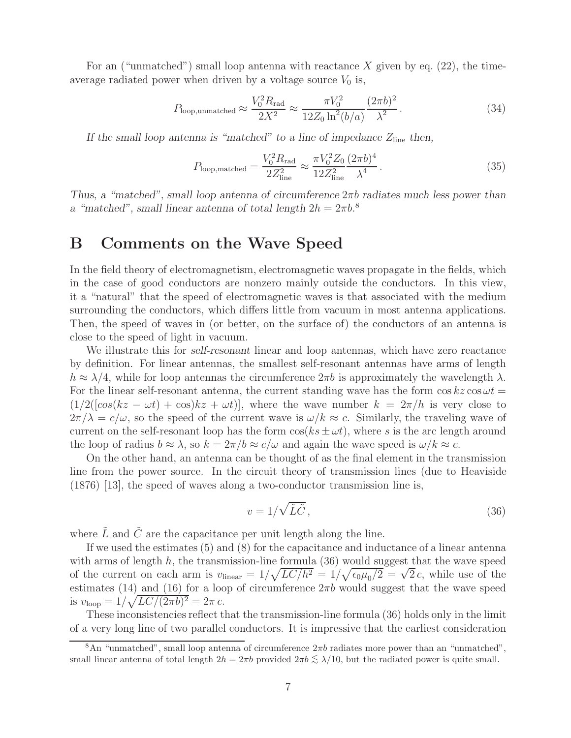For an ("unmatched") small loop antenna with reactance X given by eq.  $(22)$ , the timeaverage radiated power when driven by a voltage source  $V_0$  is,

$$
P_{\text{loop,unmatched}} \approx \frac{V_0^2 R_{\text{rad}}}{2X^2} \approx \frac{\pi V_0^2}{12Z_0 \ln^2(b/a)} \frac{(2\pi b)^2}{\lambda^2} \,. \tag{34}
$$

*If the small loop antenna is "matched" to a line of impedance*  $Z_{\text{line}}$  *then,* 

$$
P_{\text{loop,matched}} = \frac{V_0^2 R_{\text{rad}}}{2Z_{\text{line}}^2} \approx \frac{\pi V_0^2 Z_0}{12Z_{\text{line}}^2} \frac{(2\pi b)^4}{\lambda^4} \,. \tag{35}
$$

*Thus, a "matched", small loop antenna of circumference* 2πb *radiates much less power than a* "matched", small linear antenna of total length  $2h = 2\pi b$ .<sup>8</sup>

## **B Comments on the Wave Speed**

In the field theory of electromagnetism, electromagnetic waves propagate in the fields, which in the case of good conductors are nonzero mainly outside the conductors. In this view, it a "natural" that the speed of electromagnetic waves is that associated with the medium surrounding the conductors, which differs little from vacuum in most antenna applications. Then, the speed of waves in (or better, on the surface of) the conductors of an antenna is close to the speed of light in vacuum.

We illustrate this for *self-resonant* linear and loop antennas, which have zero reactance by definition. For linear antennas, the smallest self-resonant antennas have arms of length  $h \approx \lambda/4$ , while for loop antennas the circumference  $2\pi b$  is approximately the wavelength  $\lambda$ . For the linear self-resonant antenna, the current standing wave has the form  $\cos kz \cos \omega t =$  $(1/2((\cos(kz - \omega t) + \cos(kz + \omega t)),$  where the wave number  $k = 2\pi/h$  is very close to  $2\pi/\lambda = c/\omega$ , so the speed of the current wave is  $\omega/k \approx c$ . Similarly, the traveling wave of current on the self-resonant loop has the form  $\cos(ks \pm \omega t)$ , where s is the arc length around the loop of radius  $b \approx \lambda$ , so  $k = 2\pi/b \approx c/\omega$  and again the wave speed is  $\omega/k \approx c$ .

On the other hand, an antenna can be thought of as the final element in the transmission line from the power source. In the circuit theory of transmission lines (due to Heaviside  $(1876)$  [13], the speed of waves along a two-conductor transmission line is,

$$
v = 1/\sqrt{\tilde{L}\tilde{C}},\tag{36}
$$

where  $\tilde{L}$  and  $\tilde{C}$  are the capacitance per unit length along the line.

If we used the estimates (5) and (8) for the capacitance and inductance of a linear antenna with arms of length  $h$ , the transmission-line formula  $(36)$  would suggest that the wave speed of the current on each arm is  $v_{\text{linear}} = 1/\sqrt{LC/h^2} = 1/\sqrt{\epsilon_0\mu_0/2} = \sqrt{2}c$ , while use of the estimates (14) and (16) for a loop of circumference  $2\pi b$  would suggest that the wave speed is  $v_{\rm loop} = 1/\sqrt{LC/(2\pi b)^2} = 2\pi c$ .

These inconsistencies reflect that the transmission-line formula (36) holds only in the limit of a very long line of two parallel conductors. It is impressive that the earliest consideration

<sup>&</sup>lt;sup>8</sup>An "unmatched", small loop antenna of circumference  $2\pi b$  radiates more power than an "unmatched", small linear antenna of total length  $2h = 2\pi b$  provided  $2\pi b \leq \lambda/10$ , but the radiated power is quite small.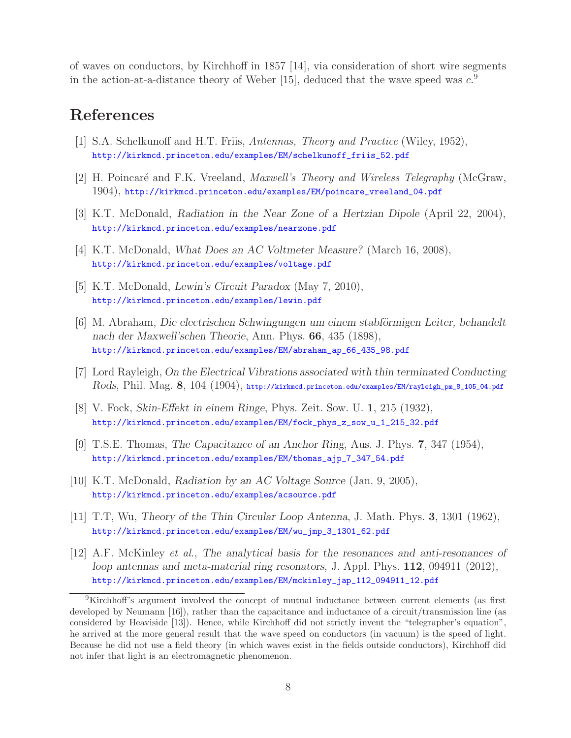of waves on conductors, by Kirchhoff in 1857 [14], via consideration of short wire segments in the action-at-a-distance theory of Weber [15], deduced that the wave speed was  $c^9$ .

## **References**

- [1] S.A. Schelkunoff and H.T. Friis, *Antennas, Theory and Practice* (Wiley, 1952), http://kirkmcd.princeton.edu/examples/EM/schelkunoff\_friis\_52.pdf
- [2] H. Poincar´e and F.K. Vreeland, *Maxwell's Theory and Wireless Telegraphy* (McGraw, 1904), http://kirkmcd.princeton.edu/examples/EM/poincare\_vreeland\_04.pdf
- [3] K.T. McDonald, *Radiation in the Near Zone of a Hertzian Dipole* (April 22, 2004), http://kirkmcd.princeton.edu/examples/nearzone.pdf
- [4] K.T. McDonald, *What Does an AC Voltmeter Measure?* (March 16, 2008), http://kirkmcd.princeton.edu/examples/voltage.pdf
- [5] K.T. McDonald, *Lewin's Circuit Paradox* (May 7, 2010), http://kirkmcd.princeton.edu/examples/lewin.pdf
- [6] M. Abraham, *Die electrischen Schwingungen um einem stabförmigen Leiter, behandelt nach der Maxwell'schen Theorie*, Ann. Phys. **66**, 435 (1898), http://kirkmcd.princeton.edu/examples/EM/abraham\_ap\_66\_435\_98.pdf
- [7] Lord Rayleigh, *On the Electrical Vibrations associated with thin terminated Conducting Rods*, Phil. Mag. **8**, 104 (1904), http://kirkmcd.princeton.edu/examples/EM/rayleigh\_pm\_8\_105\_04.pdf
- [8] V. Fock, *Skin-Effekt in einem Ringe*, Phys. Zeit. Sow. U. **1**, 215 (1932), http://kirkmcd.princeton.edu/examples/EM/fock\_phys\_z\_sow\_u\_1\_215\_32.pdf
- [9] T.S.E. Thomas, *The Capacitance of an Anchor Ring*, Aus. J. Phys. **7**, 347 (1954), http://kirkmcd.princeton.edu/examples/EM/thomas\_ajp\_7\_347\_54.pdf
- [10] K.T. McDonald, *Radiation by an AC Voltage Source* (Jan. 9, 2005), http://kirkmcd.princeton.edu/examples/acsource.pdf
- [11] T.T, Wu, *Theory of the Thin Circular Loop Antenna*, J. Math. Phys. **3**, 1301 (1962), http://kirkmcd.princeton.edu/examples/EM/wu\_jmp\_3\_1301\_62.pdf
- [12] A.F. McKinley *et al.*, *The analytical basis for the resonances and anti-resonances of loop antennas and meta-material ring resonators*, J. Appl. Phys. **112**, 094911 (2012), http://kirkmcd.princeton.edu/examples/EM/mckinley\_jap\_112\_094911\_12.pdf

<sup>9</sup>Kirchhoff's argument involved the concept of mutual inductance between current elements (as first developed by Neumann [16]), rather than the capacitance and inductance of a circuit/transmission line (as considered by Heaviside [13]). Hence, while Kirchhoff did not strictly invent the "telegrapher's equation", he arrived at the more general result that the wave speed on conductors (in vacuum) is the speed of light. Because he did not use a field theory (in which waves exist in the fields outside conductors), Kirchhoff did not infer that light is an electromagnetic phenomenon.